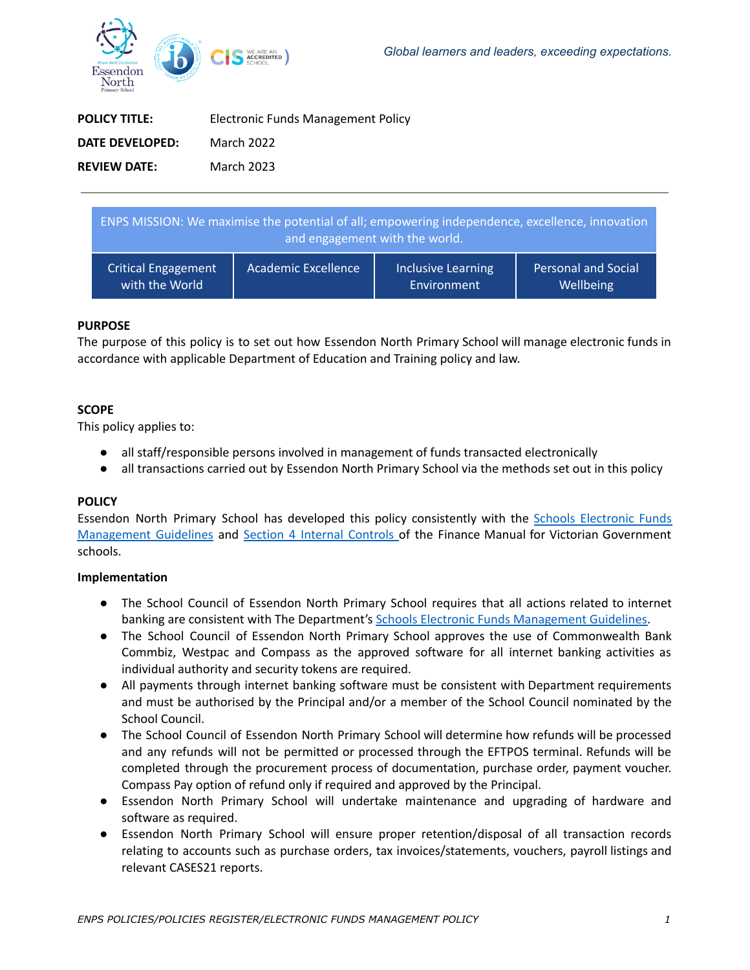

| <b>POLICY TITLE:</b>   | Electronic Funds Management Policy |
|------------------------|------------------------------------|
| <b>DATE DEVELOPED:</b> | March 2022                         |
| <b>REVIEW DATE:</b>    | March 2023                         |

| ENPS MISSION: We maximise the potential of all; empowering independence, excellence, innovation<br>and engagement with the world. |                            |                           |                            |  |
|-----------------------------------------------------------------------------------------------------------------------------------|----------------------------|---------------------------|----------------------------|--|
| <b>Critical Engagement</b>                                                                                                        | <b>Academic Excellence</b> | <b>Inclusive Learning</b> | <b>Personal and Social</b> |  |
| with the World                                                                                                                    |                            | Environment               | Wellbeing                  |  |

## **PURPOSE**

The purpose of this policy is to set out how Essendon North Primary School will manage electronic funds in accordance with applicable Department of Education and Training policy and law.

## **SCOPE**

This policy applies to:

- all staff/responsible persons involved in management of funds transacted electronically
- all transactions carried out by Essendon North Primary School via the methods set out in this policy

## **POLICY**

Essendon North Primary School has developed this policy consistently with the Schools [Electronic](http://www.education.vic.gov.au/Documents/school/principals/finance/Fin%20Schools%20Electronic%20Funds%20Management%20Guidelines%20V1_2.pdf) Funds [Management](http://www.education.vic.gov.au/Documents/school/principals/finance/Fin%20Schools%20Electronic%20Funds%20Management%20Guidelines%20V1_2.pdf) Guidelines and Section 4 Internal [Controls](http://www.education.vic.gov.au/Documents/school/teachers/management/fmvgssection4.pdf) of the Finance Manual for Victorian Government schools.

## **Implementation**

- The School Council of Essendon North Primary School requires that all actions related to internet banking are consistent with The Department's Schools Electronic Funds [Management](http://www.education.vic.gov.au/Documents/school/principals/finance/Fin%20Schools%20Electronic%20Funds%20Management%20Guidelines%20V1_2.pdf) Guidelines.
- The School Council of Essendon North Primary School approves the use of Commonwealth Bank Commbiz, Westpac and Compass as the approved software for all internet banking activities as individual authority and security tokens are required.
- All payments through internet banking software must be consistent with Department requirements and must be authorised by the Principal and/or a member of the School Council nominated by the School Council.
- The School Council of Essendon North Primary School will determine how refunds will be processed and any refunds will not be permitted or processed through the EFTPOS terminal. Refunds will be completed through the procurement process of documentation, purchase order, payment voucher. Compass Pay option of refund only if required and approved by the Principal.
- Essendon North Primary School will undertake maintenance and upgrading of hardware and software as required.
- Essendon North Primary School will ensure proper retention/disposal of all transaction records relating to accounts such as purchase orders, tax invoices/statements, vouchers, payroll listings and relevant CASES21 reports.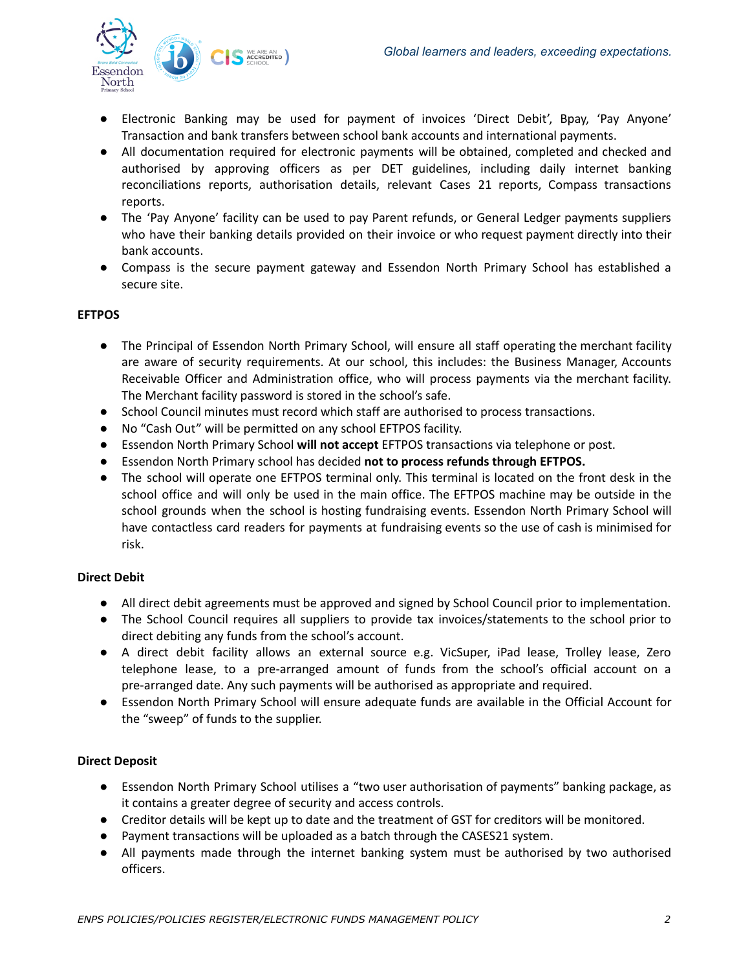

- Electronic Banking may be used for payment of invoices 'Direct Debit', Bpay, 'Pay Anyone' Transaction and bank transfers between school bank accounts and international payments.
- All documentation required for electronic payments will be obtained, completed and checked and authorised by approving officers as per DET guidelines, including daily internet banking reconciliations reports, authorisation details, relevant Cases 21 reports, Compass transactions reports.
- The 'Pay Anyone' facility can be used to pay Parent refunds, or General Ledger payments suppliers who have their banking details provided on their invoice or who request payment directly into their bank accounts.
- Compass is the secure payment gateway and Essendon North Primary School has established a secure site.

## **EFTPOS**

- The Principal of Essendon North Primary School, will ensure all staff operating the merchant facility are aware of security requirements. At our school, this includes: the Business Manager, Accounts Receivable Officer and Administration office, who will process payments via the merchant facility. The Merchant facility password is stored in the school's safe.
- School Council minutes must record which staff are authorised to process transactions.
- No "Cash Out" will be permitted on any school EFTPOS facility.
- Essendon North Primary School **will not accept** EFTPOS transactions via telephone or post.
- Essendon North Primary school has decided **not to process refunds through EFTPOS.**
- The school will operate one EFTPOS terminal only. This terminal is located on the front desk in the school office and will only be used in the main office. The EFTPOS machine may be outside in the school grounds when the school is hosting fundraising events. Essendon North Primary School will have contactless card readers for payments at fundraising events so the use of cash is minimised for risk.

# **Direct Debit**

- All direct debit agreements must be approved and signed by School Council prior to implementation.
- The School Council requires all suppliers to provide tax invoices/statements to the school prior to direct debiting any funds from the school's account.
- A direct debit facility allows an external source e.g. VicSuper, iPad lease, Trolley lease, Zero telephone lease, to a pre-arranged amount of funds from the school's official account on a pre-arranged date. Any such payments will be authorised as appropriate and required.
- Essendon North Primary School will ensure adequate funds are available in the Official Account for the "sweep" of funds to the supplier.

# **Direct Deposit**

- Essendon North Primary School utilises a "two user authorisation of payments" banking package, as it contains a greater degree of security and access controls.
- Creditor details will be kept up to date and the treatment of GST for creditors will be monitored.
- Payment transactions will be uploaded as a batch through the CASES21 system.
- All payments made through the internet banking system must be authorised by two authorised officers.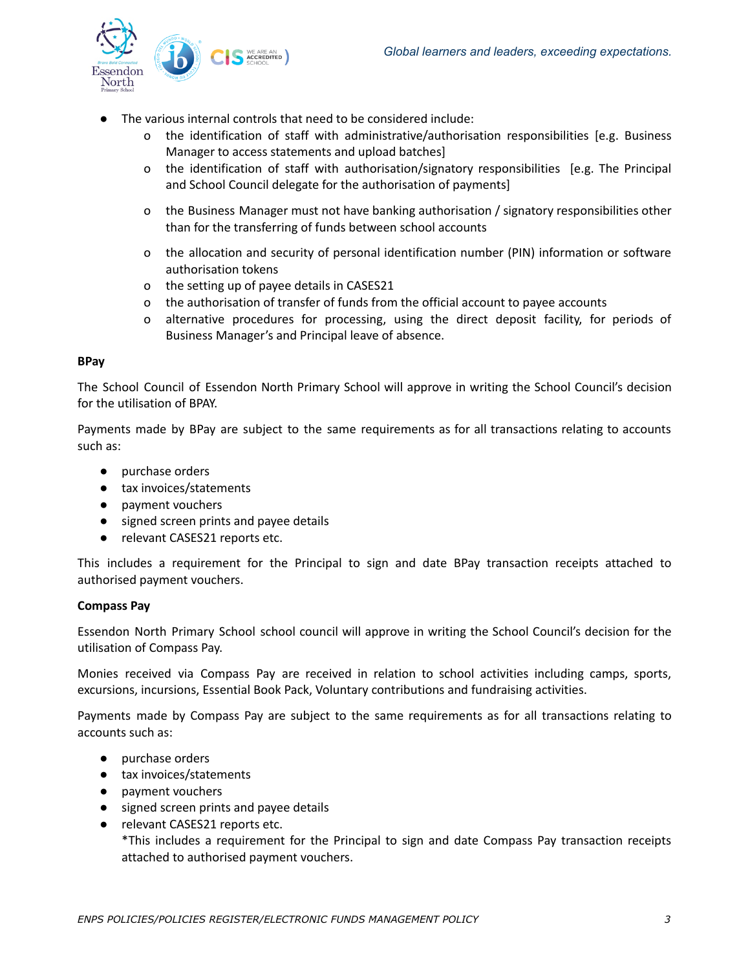

- The various internal controls that need to be considered include:
	- o the identification of staff with administrative/authorisation responsibilities [e.g. Business Manager to access statements and upload batches]
	- o the identification of staff with authorisation/signatory responsibilities [e.g. The Principal and School Council delegate for the authorisation of payments]
	- o the Business Manager must not have banking authorisation / signatory responsibilities other than for the transferring of funds between school accounts
	- o the allocation and security of personal identification number (PIN) information or software authorisation tokens
	- o the setting up of payee details in CASES21
	- o the authorisation of transfer of funds from the official account to payee accounts
	- o alternative procedures for processing, using the direct deposit facility, for periods of Business Manager's and Principal leave of absence.

#### **BPay**

The School Council of Essendon North Primary School will approve in writing the School Council's decision for the utilisation of BPAY.

Payments made by BPay are subject to the same requirements as for all transactions relating to accounts such as:

- purchase orders
- tax invoices/statements
- payment vouchers
- signed screen prints and payee details
- relevant CASES21 reports etc.

This includes a requirement for the Principal to sign and date BPay transaction receipts attached to authorised payment vouchers.

## **Compass Pay**

Essendon North Primary School school council will approve in writing the School Council's decision for the utilisation of Compass Pay.

Monies received via Compass Pay are received in relation to school activities including camps, sports, excursions, incursions, Essential Book Pack, Voluntary contributions and fundraising activities.

Payments made by Compass Pay are subject to the same requirements as for all transactions relating to accounts such as:

- purchase orders
- tax invoices/statements
- payment vouchers
- signed screen prints and payee details
- relevant CASES21 reports etc.

\*This includes a requirement for the Principal to sign and date Compass Pay transaction receipts attached to authorised payment vouchers.